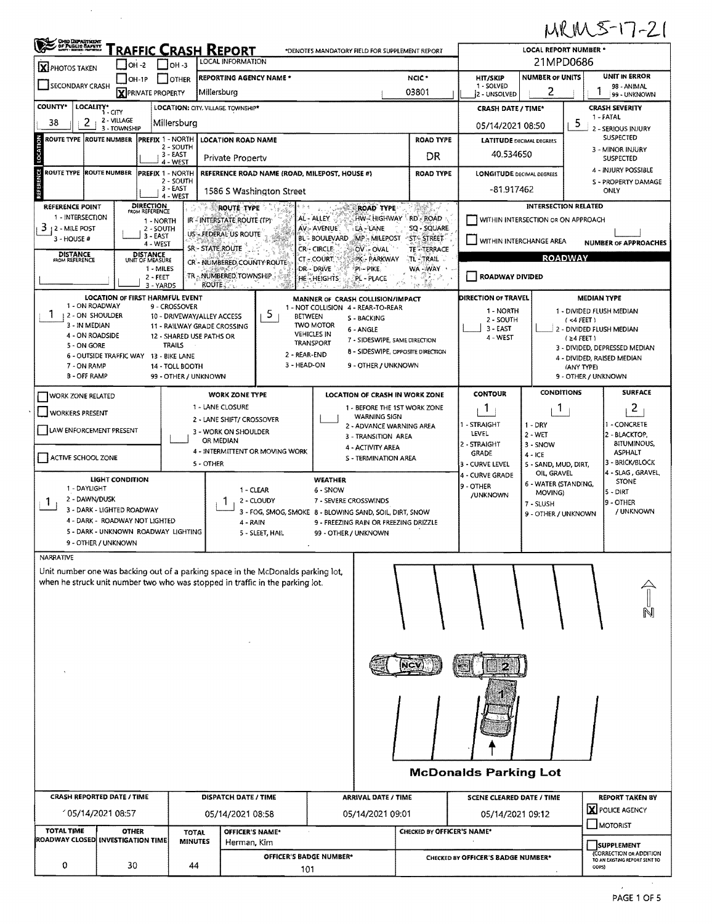## MRM5-17-21

| ORO DEPARTMENT                                                                   | RAFFIC CRASH REPORT<br>*DENOTES MANDATORY FIELD FOR SUPPLEMENT REPORT<br>LOCAL INFORMATION |                                               |                            |                                                                                  |                                           |                                               |                                                                               | LOCAL REPORT NUMBER *<br>21MPD0686                          |  |  |  |  |  |
|----------------------------------------------------------------------------------|--------------------------------------------------------------------------------------------|-----------------------------------------------|----------------------------|----------------------------------------------------------------------------------|-------------------------------------------|-----------------------------------------------|-------------------------------------------------------------------------------|-------------------------------------------------------------|--|--|--|--|--|
| $\overline{\mathbf{X}}$ PHOTOS TAKEN                                             | $\sqrt{ }$ OH -2<br>$ $ $ $ OH $-3$                                                        |                                               |                            |                                                                                  |                                           |                                               | <b>UNIT IN ERROR</b><br><b>NUMBER OF UNITS</b>                                |                                                             |  |  |  |  |  |
| $\Box$ OH-1P<br>SECONDARY CRASH                                                  | OTHER<br><b>X</b> PRIVATE PROPERTY                                                         | <b>REPORTING AGENCY NAME *</b><br>Millersburg |                            |                                                                                  | NCIC <sup>*</sup><br>03801                | <b>HIT/SKIP</b><br>1 - SOLVED<br>2 - UNSOLVED | 2                                                                             | 98 - ANIMAL<br>99 - UNKNOWN                                 |  |  |  |  |  |
| <b>COUNTY*</b><br>LOCALITY*                                                      |                                                                                            | LOCATION: CITY, VILLAGE, TOWNSHIP*            |                            |                                                                                  |                                           | CRASH DATE / TIME*                            |                                                                               | CRASH SEVERITY                                              |  |  |  |  |  |
| 2 - VILLAGE<br>2<br>38<br>3 - TOWNSHIP                                           | Millersburg                                                                                |                                               |                            |                                                                                  |                                           | 05/14/2021 08:50                              | 1 - FATAL<br>5<br>2 - SERIOUS INJURY                                          |                                                             |  |  |  |  |  |
| 중<br>ROUTE TYPE ROUTE NUMBER<br>5                                                | PREFIX 1 - NORTH<br>2 - SOUTH<br>3 - EAST                                                  | <b>LOCATION ROAD NAME</b>                     |                            |                                                                                  | <b>ROAD TYPE</b>                          | <b>LATITUDE DECIMAL DEGREES</b>               | <b>SUSPECTED</b><br>3 - MINOR INJURY                                          |                                                             |  |  |  |  |  |
| d:<br><b>ROUTE TYPE</b><br><b>ROUTE NUMBER</b>                                   | 4 - WEST<br>PREFIX 1 - NORTH                                                               | Private Property                              |                            | REFERENCE ROAD NAME (ROAD, MILEPOST, HOUSE #)                                    | DR<br><b>ROAD TYPE</b>                    |                                               | 40.534650<br><b>SUSPECTED</b><br>4 - INJURY POSSIBLE                          |                                                             |  |  |  |  |  |
|                                                                                  | 2 - SOUTH<br>3 EAST                                                                        | 1586 S Washington Street                      |                            |                                                                                  |                                           |                                               | <b>LONGITUDE DECIMAL DEGREES</b><br>S - PROPERTY DAMAGE<br>-81.917462<br>ONLY |                                                             |  |  |  |  |  |
| 茂<br>REFERENCE POINT                                                             | 4 - WEST<br><b>DIRECTION</b><br>FROM REFERENCE                                             | ROUTE TYPE                                    |                            | <b>ROAD TYPE</b>                                                                 | Saki                                      |                                               | <b>INTERSECTION RELATED</b>                                                   |                                                             |  |  |  |  |  |
| 1 - INTERSECTION<br>3<br>12 - MILE POST                                          | 1 - NORTH<br>2 - SOUTH                                                                     | IR - INTERSTATE ROUTE (TP)                    |                            | AL - ALLEY<br>HW- HIGHWAY AD-ROAD<br>AV - AVENUE<br>LA - LANE                    | SQ - SQUARE                               |                                               | WITHIN INTERSECTION OR ON APPROACH                                            |                                                             |  |  |  |  |  |
| 3 - HOUSE #                                                                      | 3-EAST<br>4 - WEST                                                                         | US-FEDERAL US ROUTE<br><b>SR-STATE ROUTE</b>  |                            | <b>BL-BOULEVARD</b><br>MP-MILEPOST ST-STREET<br>CR-CIRCLE<br>OV - OVAL           |                                           |                                               | WITHIN INTERCHANGE AREA                                                       | <b>NUMBER OF APPROACHES</b>                                 |  |  |  |  |  |
| <b>DISTANCE</b><br>FROM REFERENCE                                                | <b>DISTANCE</b><br>UNIT OF MEASURE                                                         | CR - NUMBERED, COUNTY ROUTE                   |                            | CT - COURT.<br>PK - PARKWAY                                                      | <b>TE<sup>-T</sup>TERRACE</b><br>TL-TRAIL |                                               | <b>ROADWAY</b>                                                                |                                                             |  |  |  |  |  |
|                                                                                  | 1 - MILES<br>2 - FEET<br>3 - YARDS                                                         | TR _ NUMBERED TOWNSHIP<br>ROUTE.              |                            | <b>DR - DRIVE</b><br>PI - PIKE<br><b>HE-HEIGHTS</b><br>PL - PLACE                | WA-WAY<br>÷<br>李長<br>š.                   | ROADWAY DIVIDED                               |                                                                               |                                                             |  |  |  |  |  |
| LOCATION OF FIRST HARMFUL EVENT<br>1 - ON ROADWAY                                |                                                                                            |                                               |                            | MANNER OF CRASH COLLISION/IMPACT                                                 |                                           | DIRECTION OF TRAVEL                           |                                                                               | <b>MEDIAN TYPE</b>                                          |  |  |  |  |  |
| 1<br>2 - ON SHOULDER                                                             | 9 - CROSSOVER<br>10 - DRIVEWAY/ALLEY ACCESS                                                |                                               | 5<br><b>BETWEEN</b>        | 1 - NOT COLLISION 4 - REAR-TO-REAR<br>S - BACKING<br><b>TWO MOTOR</b>            |                                           | 1 - NORTH<br>2 - SOUTH                        |                                                                               | 1 - DIVIDED FLUSH MEDIAN<br>$(4$ FEET)                      |  |  |  |  |  |
| 3 - IN MEDIAN<br>4 - ON ROADSIDE                                                 | 12 - SHARED USE PATHS OR                                                                   | 11 - RAILWAY GRADE CROSSING                   |                            | 6 - ANGLE<br><b>VEHICLES IN</b><br>7 - SIDESWIPE, SAME DIRECTION<br>TRANSPORT    |                                           | $3 - EAST$<br>4 - WEST                        |                                                                               | 2 - DIVIDED FLUSH MEDIAN<br>$(24$ FEET)                     |  |  |  |  |  |
| 5 - ON GORE<br>6 - OUTSIDE TRAFFIC WAY 13 - BIKE LANE                            | TRAILS                                                                                     |                                               | 2 - REAR-END               | <b>8 - SIDESWIPE, OPPOSITE DIRECTION</b>                                         |                                           |                                               |                                                                               | 3 - DIVIDED, DEPRESSED MEDIAN<br>4 - DIVIDED, RAISED MEDIAN |  |  |  |  |  |
| 7 - ON RAMP<br><b>B-OFF RAMP</b>                                                 | 14 - TOLL BOOTH<br>99 - OTHER / UNKNOWN                                                    |                                               | 3 - HEAD-ON                | 9 - OTHER / UNKNOWN                                                              |                                           |                                               |                                                                               | (ANY TYPE)<br>9 - OTHER / UNKNOWN                           |  |  |  |  |  |
| <b>WORK ZONE RELATED</b>                                                         |                                                                                            | <b>WORK ZONE TYPE</b>                         |                            | LOCATION OF CRASH IN WORK ZONE                                                   |                                           | <b>CONTOUR</b>                                | <b>CONDITIONS</b>                                                             | <b>SURFACE</b>                                              |  |  |  |  |  |
| <b>WORKERS PRESENT</b>                                                           |                                                                                            | 1 - LANE CLOSURE<br>2 - LANE SHIFT/ CROSSOVER |                            | 1 - BEFORE THE 1ST WORK ZONE<br><b>WARNING SIGN</b>                              |                                           | 1                                             | 1                                                                             | $\overline{c}$                                              |  |  |  |  |  |
| LAW ENFORCEMENT PRESENT                                                          |                                                                                            | 3 - WORK ON SHOULDER                          |                            | 2 - ADVANCE WARNING AREA<br>3 - TRANSITION AREA                                  |                                           | 1 - STRAIGHT<br>LEVEL                         | $1 - DRY$<br>$2 - WET$                                                        | - CONCRETE<br>2 - BLACKTOP,                                 |  |  |  |  |  |
| ACTIVE SCHOOL ZONE                                                               |                                                                                            | OR MEDIAN<br>4 - INTERMITTENT OR MOVING WORK  |                            | 4 - ACTIVITY AREA<br><b>S - TERMINATION AREA</b>                                 |                                           | 2 - STRAIGHT<br><b>GRADE</b>                  | 3 - SNOW<br>$4 - ICE$                                                         | <b>BITUMINOUS,</b><br><b>ASPHALT</b>                        |  |  |  |  |  |
|                                                                                  |                                                                                            | S - OTHER                                     |                            |                                                                                  |                                           | 3 - CURVE LEVEL<br>4 - CURVE GRADE            | 5 - SAND, MUD, DIRT,<br>OIL, GRAVEL                                           | 3 - BRICK/BLOCK<br>4 - SLAG , GRAVEL,                       |  |  |  |  |  |
| LIGHT CONDITION<br>1 - DAYLIGHT                                                  |                                                                                            | 1 - CLEAR                                     |                            | <b>WEATHER</b><br>6 - SNOW                                                       |                                           | 9 - OTHER<br>/UNKNOWN                         | 6 - WATER (STANDING,<br>MOVING)                                               | <b>STONE</b><br>$5 - D IRT$                                 |  |  |  |  |  |
| 2 - DAWN/DUSK<br>-1<br>3 - DARK - LIGHTED ROADWAY                                |                                                                                            |                                               | 2 - CLOUDY                 | 7 - SEVERE CROSSWINDS<br>3 - FOG, SMOG, SMOKE 8 - BLOWING SAND, SOIL, DIRT, SNOW |                                           |                                               | 7 - SLUSH<br>9 - OTHER / UNKNOWN                                              | 9 - OTHER<br>/ UNKNOWN                                      |  |  |  |  |  |
| 4 - DARK - ROADWAY NOT LIGHTED<br>5 - DARK - UNKNOWN ROADWAY LIGHTING            |                                                                                            | 4 - RAIN                                      | 5 - SLEET, HAIL            | 9 - FREEZING RAIN OR FREEZING DRIZZLE<br>99 - OTHER / UNKNOWN                    |                                           |                                               |                                                                               |                                                             |  |  |  |  |  |
| 9 - OTHER / UNKNOWN<br>NARRATIVE                                                 |                                                                                            |                                               |                            |                                                                                  |                                           |                                               |                                                                               |                                                             |  |  |  |  |  |
| Unit number one was backing out of a parking space in the McDonalds parking lot, |                                                                                            |                                               |                            |                                                                                  |                                           |                                               |                                                                               |                                                             |  |  |  |  |  |
| when he struck unit number two who was stopped in traffic in the parking lot.    |                                                                                            |                                               |                            |                                                                                  |                                           |                                               |                                                                               |                                                             |  |  |  |  |  |
|                                                                                  |                                                                                            |                                               |                            |                                                                                  |                                           |                                               |                                                                               |                                                             |  |  |  |  |  |
|                                                                                  |                                                                                            |                                               |                            |                                                                                  |                                           |                                               |                                                                               |                                                             |  |  |  |  |  |
|                                                                                  |                                                                                            |                                               |                            |                                                                                  |                                           |                                               |                                                                               |                                                             |  |  |  |  |  |
|                                                                                  |                                                                                            |                                               |                            |                                                                                  |                                           |                                               |                                                                               |                                                             |  |  |  |  |  |
|                                                                                  |                                                                                            |                                               |                            |                                                                                  |                                           |                                               |                                                                               |                                                             |  |  |  |  |  |
|                                                                                  |                                                                                            |                                               |                            |                                                                                  |                                           |                                               |                                                                               |                                                             |  |  |  |  |  |
|                                                                                  |                                                                                            |                                               |                            |                                                                                  |                                           |                                               |                                                                               |                                                             |  |  |  |  |  |
|                                                                                  |                                                                                            |                                               |                            |                                                                                  |                                           |                                               |                                                                               |                                                             |  |  |  |  |  |
|                                                                                  |                                                                                            |                                               |                            |                                                                                  |                                           |                                               |                                                                               |                                                             |  |  |  |  |  |
| <b>McDonalds Parking Lot</b>                                                     |                                                                                            |                                               |                            |                                                                                  |                                           |                                               |                                                                               |                                                             |  |  |  |  |  |
|                                                                                  | DISPATCH DATE / TIME                                                                       |                                               | <b>ARRIVAL DATE / TIME</b> |                                                                                  | <b>SCENE CLEARED DATE / TIME</b>          |                                               | <b>REPORT TAKEN BY</b>                                                        |                                                             |  |  |  |  |  |
| <b>CRASH REPORTED DATE / TIME</b>                                                |                                                                                            |                                               |                            | 05/14/2021 09:01<br>05/14/2021 09:12                                             |                                           |                                               |                                                                               |                                                             |  |  |  |  |  |
| 105/14/2021 08:57                                                                |                                                                                            | 05/14/2021 08:58                              |                            |                                                                                  |                                           |                                               |                                                                               | X POLICE AGENCY<br>MOTORIST                                 |  |  |  |  |  |
| <b>TOTAL TIME</b><br><b>OTHER</b><br>ROADWAY CLOSED INVESTIGATION TIME           | <b>TOTAL</b><br><b>MINUTES</b>                                                             | OFFICER'S NAME*<br>Herman, Kim                |                            |                                                                                  | CHECKED BY OFFICER'S NAME*                |                                               |                                                                               | <b>SUPPLEMENT</b><br>(CORRECTION OR ADDITION                |  |  |  |  |  |

 $\label{eq:2} \frac{d\mathbf{r}}{dt} = \frac{1}{2} \sum_{i=1}^n \frac{d\mathbf{r}}{dt}$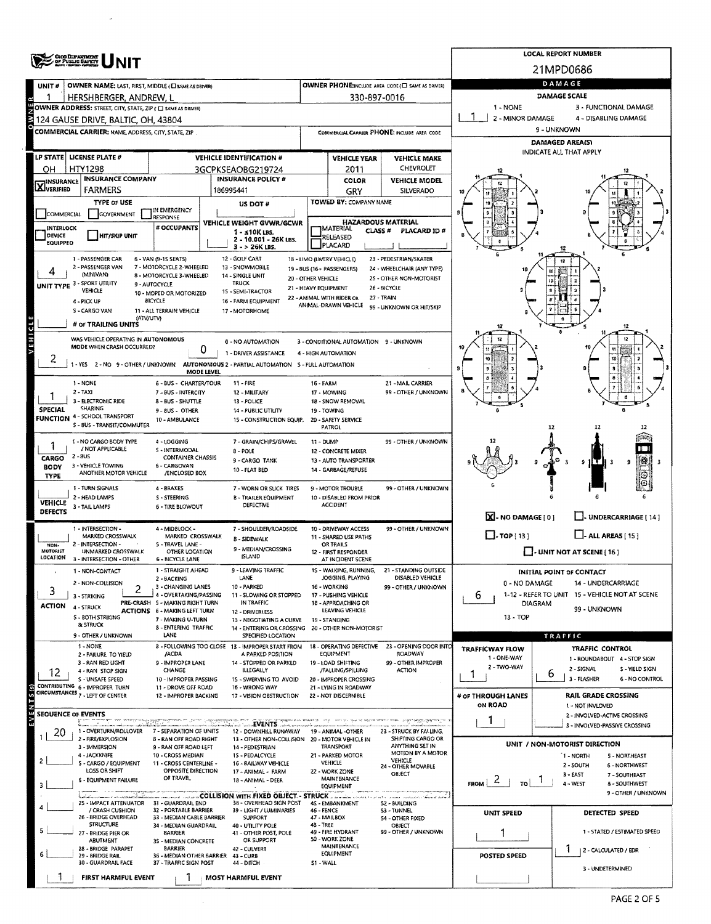| <b>OHOO DEPARTMENT</b><br>OF PUBLIC BAFTY |                                                                                                           |                                                           |                           |                                                                        |                                                              |                                                         |                                                                                    | <b>LOCAL REPORT NUMBER</b>                              |                                                           |                                |  |  |  |
|-------------------------------------------|-----------------------------------------------------------------------------------------------------------|-----------------------------------------------------------|---------------------------|------------------------------------------------------------------------|--------------------------------------------------------------|---------------------------------------------------------|------------------------------------------------------------------------------------|---------------------------------------------------------|-----------------------------------------------------------|--------------------------------|--|--|--|
|                                           |                                                                                                           |                                                           |                           |                                                                        |                                                              |                                                         |                                                                                    |                                                         | 21MPD0686                                                 |                                |  |  |  |
| UNIT#                                     | <b>OWNER NAME: LAST, FIRST, MIDDLE (CI SAME AS DRIVER)</b>                                                |                                                           |                           |                                                                        |                                                              |                                                         | OWNER PHONE; INCLUDE AREA CODE (E) SAME AS DRIVER)                                 |                                                         | DAMAGE                                                    |                                |  |  |  |
| Л                                         | HERSHBERGER, ANDREW, L                                                                                    |                                                           |                           |                                                                        |                                                              | 330-897-0016                                            |                                                                                    |                                                         | DAMAGE SCALE                                              |                                |  |  |  |
|                                           | OWNER ADDRESS: STREET, CITY, STATE, ZIP ( C) SAME AS DRIVERY                                              |                                                           |                           |                                                                        |                                                              |                                                         |                                                                                    | 1 - NONE                                                | 3 - FUNCTIONAL DAMAGE                                     |                                |  |  |  |
|                                           | 124 GAUSE DRIVE, BALTIC, OH, 43804                                                                        |                                                           |                           |                                                                        | COMMERCIAL CARRIER PHONE: INCLUDE AREA CODE                  |                                                         |                                                                                    | 2 - MINOR DAMAGE<br>4 - DISABLING DAMAGE<br>9 - UNKNOWN |                                                           |                                |  |  |  |
|                                           | COMMERCIAL CARRIER: NAME ADDRESS, CITY, STATE, ZIP                                                        |                                                           |                           |                                                                        |                                                              |                                                         |                                                                                    | DAMAGED AREA(S)                                         |                                                           |                                |  |  |  |
|                                           | LP STATE LICENSE PLATE #                                                                                  |                                                           |                           | <b>VEHICLE IDENTIFICATION #</b>                                        |                                                              | <b>VEHICLE YEAR</b>                                     | <b>VEHICLE MAKE</b>                                                                |                                                         | INDICATE ALL THAT APPLY                                   |                                |  |  |  |
| HTY1298<br>OН<br>3GCPKSEAOBG219724        |                                                                                                           |                                                           |                           |                                                                        |                                                              | 2011                                                    | <b>CHEVROLET</b>                                                                   |                                                         |                                                           |                                |  |  |  |
| <b>X</b> <sup>INSURANCE</sup>             | <b>INSURANCE COMPANY</b>                                                                                  |                                                           | <b>INSURANCE POLICY #</b> |                                                                        | <b>COLOR</b>                                                 | <b>VEHICLE MODEL</b>                                    |                                                                                    |                                                         |                                                           |                                |  |  |  |
|                                           | <b>FARMERS</b>                                                                                            |                                                           | 186995441                 |                                                                        |                                                              | GRY                                                     | <b>SILVERADO</b>                                                                   |                                                         |                                                           |                                |  |  |  |
| COMMERCIAL                                | <b>TYPE OF USE</b><br>GOVERNMENT                                                                          | IN EMERGENCY                                              |                           | US DOT#                                                                |                                                              | TOWED BY: COMPANY NAME                                  |                                                                                    |                                                         |                                                           |                                |  |  |  |
| INTERLOCK                                 |                                                                                                           | <b>RESPONSE</b><br># OCCUPANTS                            |                           | VEHICLE WEIGHT GVWR/GCWR                                               |                                                              | <b>HAZARDOUS MATERIAL</b><br><b>MATERIAL</b>            |                                                                                    |                                                         |                                                           |                                |  |  |  |
| <b>DEVICE</b><br>EQUIPPED                 | <b>HIT/SKIP UNIT</b>                                                                                      |                                                           |                           | $1 - 510K$ LBS.<br>2 - 10.001 - 26K LBS.                               |                                                              | CLASS <sup>#</sup><br>RELEASED                          | PLACARD ID#                                                                        |                                                         |                                                           |                                |  |  |  |
|                                           |                                                                                                           |                                                           |                           | 3 - > 26K LBS.                                                         |                                                              | PLACARD                                                 |                                                                                    |                                                         |                                                           |                                |  |  |  |
|                                           | 1 - PASSENGER CAR<br>2 - PASSENGER VAN                                                                    | 6 - VAN (9-15 SEATS)<br>7 - MOTORCYCLE 2-WHEELED          |                           | 12 - GOLF CART<br>13 - SNOWMOBILE                                      |                                                              | 18 - LIMO (LIVERY VEHICLE)<br>19 - BUS (16+ PASSENGERS) | 23 - PEDESTRIAN/SKATER<br>24 - WHEELCHAIR (ANY TYPE)                               |                                                         |                                                           |                                |  |  |  |
|                                           | (MINIVAN)<br>UNIT TYPE 3 - SPORT UTILITY                                                                  | 8 - MOTORCYCLE 3-WHEELED<br>9 - AUTOCYCLE                 |                           | 14 - SINGLE UNIT<br><b>TRUCK</b>                                       | 20 - OTHER VEHICLE                                           |                                                         | 25 - OTHER NON-MOTORIST                                                            |                                                         |                                                           |                                |  |  |  |
|                                           | VEHICLE                                                                                                   | 10 - MOPED OR MOTORIZED                                   |                           | 15 - SEMI-TRACTOR                                                      | 21 - HEAVY EQUIPMENT                                         | 22 - ANIMAL WITH RIDER OR                               | 26 - BICYCLE<br>27 - TRAIN                                                         |                                                         |                                                           |                                |  |  |  |
|                                           | 4-PICK UP<br>S - CARGO VAN                                                                                | <b>BICYCLE</b><br>11 - ALL TERRAIN VEHICLE                |                           | 16 - FARM EQUIPMENT<br>17 - MOTORHOME                                  |                                                              | ANIMAL-DRAWN VEHICLE                                    | 99 - UNKNOWN OR HIT/SKIP                                                           |                                                         |                                                           |                                |  |  |  |
|                                           | (ATV/UTV)<br># OF TRAILING UNITS                                                                          |                                                           |                           |                                                                        |                                                              |                                                         |                                                                                    | 12                                                      |                                                           | 12                             |  |  |  |
| VEHICLE                                   | WAS VEHICLE OPERATING IN AUTONOMOUS                                                                       |                                                           |                           | 0 - NO AUTOMATION                                                      |                                                              | 3 - CONDITIONAL AUTOMATION 9 - UNKNOWN                  |                                                                                    |                                                         |                                                           | 12                             |  |  |  |
|                                           | MODE WHEN CRASH OCCURRED?                                                                                 |                                                           | 0                         | 1 - DRIVER ASSISTANCE                                                  |                                                              | 4 - HIGH AUTOMATION                                     |                                                                                    |                                                         |                                                           |                                |  |  |  |
|                                           | -YES 2-NO 9-OTHER/UNKNOWN                                                                                 |                                                           |                           | AUTONOMOUS 2 - PARTIAL AUTOMATION 5 - FULL AUTOMATION                  |                                                              |                                                         |                                                                                    |                                                         | s                                                         |                                |  |  |  |
|                                           | 1 - NONE                                                                                                  | 6 - BUS - CHARTER/TOUR                                    | <b>MODE LEVEL</b>         | $11 - FIRE$                                                            | 16 - FARM                                                    |                                                         | 21 - MAIL CARRIER                                                                  |                                                         |                                                           |                                |  |  |  |
|                                           | $2 - TAX$                                                                                                 | 7 - BUS - INTERCITY                                       |                           | 12 - MILITARY                                                          |                                                              | 17 - MOWING                                             | 99 - OTHER / UNKNOWN                                                               |                                                         |                                                           |                                |  |  |  |
| <b>SPECIAL</b>                            | 3 - ELECTRONIC RIDE<br><b>SHARING</b>                                                                     | 8 - BUS - SHUTTLE<br>9 - BUS - OTHER                      |                           | 13 - POLICE                                                            |                                                              | 18 - SNOW REMOVAL<br>19 - TOWING                        |                                                                                    |                                                         |                                                           |                                |  |  |  |
|                                           | 14 - PUBLIC UTILITY<br><b>FUNCTION 4 - SCHOOL TRANSPORT</b><br>10 - AMBULANCE<br>15 - CONSTRUCTION EQUIP. |                                                           |                           |                                                                        |                                                              |                                                         |                                                                                    |                                                         |                                                           |                                |  |  |  |
|                                           | S - BUS - TRANSIT/COMMUTER                                                                                |                                                           |                           |                                                                        |                                                              | PATROL                                                  |                                                                                    |                                                         |                                                           |                                |  |  |  |
|                                           | 1 - NO CARGO BODY TYPE<br>/ NOT APPLICABLE                                                                | 4 - LOGGING<br>S - INTERMODAL                             |                           | 7 - GRAIN/CHIPS/GRAVEL<br>8 - POLE                                     | 11 - DUMP                                                    | 12 - CONCRETE MIXER                                     | 99 - OTHER / UNKNOWN                                                               |                                                         |                                                           |                                |  |  |  |
| CARGO                                     | 2 - BUS<br>3 - VEHICLE TOWING                                                                             | CONTAINER CHASSIS<br>6 - CARGOVAN                         |                           | 9 - CARGO TANK                                                         |                                                              | 13 - AUTO TRANSPORTER                                   |                                                                                    |                                                         | g                                                         |                                |  |  |  |
| <b>BODY</b><br>TYPE                       | ANOTHER MOTOR VEHICLE                                                                                     | /ENCLOSED BOX                                             |                           | 10 - FLAT BED                                                          |                                                              | 14 - GARBAGE/REFUSE                                     |                                                                                    |                                                         |                                                           |                                |  |  |  |
|                                           | 1 - TURN SIGNALS                                                                                          | 4 - BRAKES                                                |                           | 7 - WORN OR SLICK TIRES                                                |                                                              | 9 - MOTOR TROUBLE                                       | 99 - OTHER / UNKNOWN                                                               |                                                         |                                                           |                                |  |  |  |
| <b>VEHICLE</b>                            | 2 - HEAD LAMPS<br>3 - TAIL LAMPS                                                                          | S - STEERING<br>6 - TIRE BLOWOUT                          |                           | <b>B - TRAILER EQUIPMENT</b><br>DEFECTIVE                              |                                                              | 10 - DISABLED FROM PRIOR<br><b>ACCIDENT</b>             |                                                                                    |                                                         |                                                           |                                |  |  |  |
| <b>DEFECTS</b>                            |                                                                                                           |                                                           |                           |                                                                        |                                                              |                                                         |                                                                                    | X-NO DAMAGE[0]                                          | J- UNDERCARRIAGE [ 14 ]                                   |                                |  |  |  |
|                                           | 1 - INTERSECTION -<br>MARKED CROSSWALK                                                                    | 4 - MIDBLOCK -<br>MARKED CROSSWALK                        |                           | 7 - SHOULDER/ROADSIDE                                                  |                                                              | 10 - DRIVEWAY ACCESS<br>11 - SHARED USE PATHS           | 99 - OTHER / UNKNOWN                                                               | $\Box$ -TOP [ 13 ]                                      | $\Box$ - ALL AREAS [ 15 ]                                 |                                |  |  |  |
| NON-                                      | 2 - INTERSECTION -<br><b>UNMARKED CROSSWALK</b>                                                           | S - TRAVEL LANE -                                         |                           | <b>8 - SIDEWALK</b><br>9 - MEDIAN/CROSSING                             |                                                              | OR TRAILS                                               |                                                                                    |                                                         |                                                           |                                |  |  |  |
| <b>MOTORIST</b><br>LOCATION               | 3 - INTERSECTION - OTHER                                                                                  | OTHER LOCATION<br><b>6 - BICYCLE LANE</b>                 |                           | <b>ISLAND</b>                                                          |                                                              | 12 - FIRST RESPONDER<br>AT INCIDENT SCENE               |                                                                                    |                                                         | - UNIT NOT AT SCENE [ 16 ]                                |                                |  |  |  |
|                                           | 1 - NON-CONTACT                                                                                           | 1 - STRAIGHT AHEAD<br>2 - BACKING                         |                           | 9 - LEAVING TRAFFIC<br>LANE                                            |                                                              | WALKING, RUNNING,<br>JOGGING, PLAYING                   | 21 - STANDING OUTSIDE<br>DISABLED VEHICLE                                          |                                                         | <b>INITIAL POINT OF CONTACT</b>                           |                                |  |  |  |
| 3                                         | 2 - NON-COLLISION<br>2                                                                                    | 3 - CHANGING LANES                                        |                           | 10 - PARKED                                                            |                                                              | 16 - WORKING                                            | 99 - OTHER / UNKNOWN                                                               | 0 - NO DAMAGE                                           | 14 - UNDERCARRIAGE                                        |                                |  |  |  |
| <b>ACTION</b>                             | 3 - STRIKING                                                                                              | 4 - OVERTAKING/PASSING<br>PRE-CRASH 5 - MAKING RIGHT TURN |                           | 11 - SLOWING OR STOPPED<br>IN TRAFFIC                                  |                                                              | 17 - PUSHING VEHICLE<br>18 - APPROACHING OR             |                                                                                    | 6                                                       | 1-12 - REFER TO UNIT 15 - VEHICLE NOT AT SCENE<br>DIAGRAM |                                |  |  |  |
|                                           | 4 - STRUCK<br>S - BOTH STRIKING                                                                           | ACTIONS 6 - MAKING LEFT TURN<br>7 - MAKING U-TURN         |                           | 12 - DRIVERLESS<br>13 - NEGOTIATING A CURVE                            | 99 - UNKNOWN<br>LEAVING VEHICLE<br>13 - TOP<br>19 - STANDING |                                                         |                                                                                    |                                                         |                                                           |                                |  |  |  |
|                                           | <b>&amp; STRUCK</b>                                                                                       | 8 - ENTERING TRAFFIC                                      |                           | 14 - ENTERING OR CROSSING                                              |                                                              | 20 - OTHER NON-MOTORIST                                 |                                                                                    |                                                         |                                                           |                                |  |  |  |
|                                           | 9 - OTHER / UNKNOWN<br>1 - NONE                                                                           | LANE                                                      |                           | SPECIFIED LOCATION<br>B - FOLLOWING TOO CLOSE 13 - IMPROPER START FROM |                                                              |                                                         | 18 - OPERATING DEFECTIVE 23 - OPENING DOOR INTO                                    | <b>TRAFFICWAY FLOW</b>                                  | TRAFFIC<br>TRAFFIC CONTROL                                |                                |  |  |  |
|                                           | 2 - FAILURE TO YIELD<br>3 - RAN RED LIGHT                                                                 | /ACDA<br>9 - IMPROPER LANE                                |                           | A PARKED POSITION<br>14 - STOPPED OR PARKED                            |                                                              | EQUIPMENT<br>19 - LOAD SHIFTING                         | ROADWAY<br>99 - OTHER IMPROPER                                                     | 1 - ONE-WAY                                             | 1 - ROUNDABOUT 4 - STOP SIGN                              |                                |  |  |  |
| 12                                        | 4 - RAN STOP SIGN                                                                                         | CHANGE                                                    |                           | ILLEGALLY                                                              |                                                              | /FALLING/SPILLING                                       | <b>ACTION</b>                                                                      | 2 - TWO-WAY<br>ı                                        | 2 - SIGNAL<br>6                                           | S - YIELD SIGN                 |  |  |  |
|                                           | S - UNSAFE SPEED<br>CONTRIBUTING 6 - IMPROPER TURN                                                        | 10 - IMPROPER PASSING<br>11 - DROVE OFF ROAD              |                           | 15 - SWERVING TO AVOID<br>16 - WRONG WAY                               |                                                              | 20 - IMPROPER CROSSING<br>21 - LYING IN ROADWAY         |                                                                                    |                                                         | 3 - FLASHER                                               | 6 - NO CONTROL                 |  |  |  |
|                                           | CIRCUMSTANCES 7 - LEFT OF CENTER                                                                          | 12 - IMPROPER BACKING                                     |                           | 17 - VISION OBSTRUCTION                                                |                                                              | 22 - NOT DISCERNIBLE                                    |                                                                                    | # OF THROUGH LANES<br>ON ROAD                           | <b>RAIL GRADE CROSSING</b>                                |                                |  |  |  |
| <b>SEQUENCE OF EVENTS</b>                 |                                                                                                           |                                                           |                           |                                                                        |                                                              |                                                         |                                                                                    |                                                         | 1 - NOT INVLOVED<br>2 - INVOLVED-ACTIVE CROSSING          |                                |  |  |  |
|                                           | 1 - OVERTURN/ROLLOVER                                                                                     | men me garmer (jing<br>7 - SEPARATION OF UNITS            |                           | <b>EVENTS</b><br>12 - DOWNHILL RUNAWAY                                 |                                                              | 19 - ANIMAL -OTHER                                      | iya ng separa nama sa mai - sa gastangga signipasa jiri<br>23 - STRUCK BY FALLING, | 1                                                       | 3 - INVOLVED-PASSIVE CROSSING                             |                                |  |  |  |
| 20                                        | 2 - FIRE/EXPLOSION                                                                                        | <b>8 - RAN OFF ROAD RIGHT</b>                             |                           | 13 - OTHER NON-COLLISION 20 - MOTOR VEHICLE IN                         |                                                              |                                                         | SHIFTING CARGO OR<br>ANYTHING SET IN                                               |                                                         | UNIT / NON-MOTORIST DIRECTION                             |                                |  |  |  |
|                                           | 3 - IMMERSION<br>4 - JACKKNIFE                                                                            | 9 - RAN OFF ROAD LEFT<br>10 - CROSS MEDIAN                |                           | 14 - PEDESTRIAN<br>15 - PEDALCYCLE                                     |                                                              | TRANSPORT<br>21 - PARKED MOTOR                          | <b>MOTION BY A MOTOR</b>                                                           |                                                         | 1 - NORTH                                                 | <b>S-NORTHEAST</b>             |  |  |  |
|                                           | S - CARGO / EQUIPMENT<br>LOSS OR SHIFT                                                                    | 11 - CROSS CENTERLINE -<br>OPPOSITE DIRECTION             |                           | 16 - RAILWAY VEHICLE<br>17 - ANIMAL - FARM                             |                                                              | <b>VEHICLE</b><br>22 - WORK ZONE                        | VEHICLE<br>24 - OTHER MOVABLE                                                      |                                                         | 2 - SOUTH                                                 | 6 - NORTHWEST                  |  |  |  |
|                                           | 6 - EQUIPMENT FAILURE                                                                                     | OF TRAVEL                                                 |                           | 18 - ANIMAL - DEER                                                     |                                                              | MAINTENANCE<br>EQUIPMENT                                | OBJECT                                                                             | $F_{ROM}$ 2<br>TO I                                     | $3 - EAST$<br>4 - WEST                                    | 7 - SOUTHEAST<br>8 - SOUTHWEST |  |  |  |
|                                           | ar maramandada                                                                                            |                                                           |                           | COLLISION WITH FIXED OBJECT - STRUCK.                                  |                                                              |                                                         |                                                                                    |                                                         |                                                           | 9 - OTHER / UNKNOWN            |  |  |  |
|                                           | 25 - IMPACT ATTENUATOR<br>/ CRASH CUSHION                                                                 | 31 - GUARDRAIL END<br>32 - PORTA8LE BARRIER               |                           | 38 - OVERHEAD SIGN POST<br>39 - LIGHT / LUMINARIES                     | 46 - FENCE                                                   | 45 - EMBANKMENT                                         | <b>S2 - BUILDING</b><br>53 - TUNNEL                                                | <b>UNIT SPEED</b>                                       | DETECTED SPEED                                            |                                |  |  |  |
|                                           | 26 - BRIDGE OVERHEAD<br><b>STRUCTURE</b>                                                                  | 33 - MEDIAN CABLE BARRIER<br>34 - MEDIAN GUARDRAIL        |                           | <b>SUPPORT</b><br>40 - UTILITY POLE                                    | 4B - TREE                                                    | 47 - MAILBOX                                            | 54 - OTHER FIXED<br>OBJECT                                                         |                                                         |                                                           |                                |  |  |  |
|                                           | 27 - BRIDGE PIER OR<br><b>ABUTMENT</b>                                                                    | <b>BARRIER</b><br>35 - MEDIAN CONCRETE                    |                           | 41 - OTHER POST, POLE<br>OR SUPPORT                                    |                                                              | 49 - FIRE HYDRANT<br>50 - WORK ZONE                     | 99 - OTHER / UNKNOWN                                                               |                                                         |                                                           | 1 - STATED / ESTIMATED SPEED   |  |  |  |
|                                           | 28 - BRIDGE PARAPET                                                                                       | <b>BARRIER</b>                                            |                           | 42 - CULVERT                                                           |                                                              | MAINTENANCE<br>EQUIPMENT                                |                                                                                    |                                                         | 2 - CALCULATED / EDR                                      |                                |  |  |  |
|                                           | 29 - BRIDGE RAIL<br>30 - GUARDRAIL FACE                                                                   | 36 - MEDIAN OTHER BARRIER<br>37 - TRAFFIC SIGN POST       |                           | 43 - CURB<br>44 - DITCH                                                | S1 - WALL                                                    |                                                         |                                                                                    | <b>POSTED SPEED</b>                                     | 3 - UNDETERMINED                                          |                                |  |  |  |
|                                           | FIRST HARMFUL EVENT                                                                                       |                                                           |                           | <b>MOST HARMFUL EVENT</b>                                              |                                                              |                                                         |                                                                                    |                                                         |                                                           |                                |  |  |  |

 $\sim$ 

 $\bar{\epsilon}$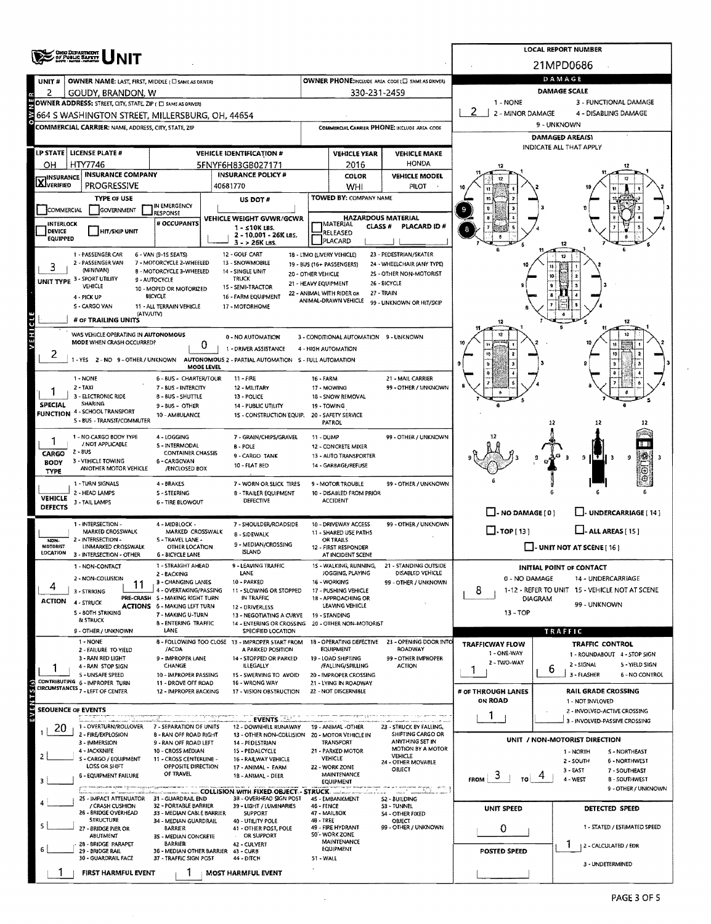|                                   | <b>OHIO DEPARTMENT</b><br>Of PUBLIC SAFETY                                               |                                                                        |                                                                   |                      |                                                   |                                                       |                                                         | <b>LOCAL REPORT NUMBER</b>                                         |  |  |  |
|-----------------------------------|------------------------------------------------------------------------------------------|------------------------------------------------------------------------|-------------------------------------------------------------------|----------------------|---------------------------------------------------|-------------------------------------------------------|---------------------------------------------------------|--------------------------------------------------------------------|--|--|--|
|                                   |                                                                                          |                                                                        |                                                                   |                      |                                                   |                                                       |                                                         | 21MPD0686                                                          |  |  |  |
| UNIT#                             | <b>OWNER NAME: LAST, FIRST, MIDDLE (C) SAME AS ORIVER)</b>                               |                                                                        | OWNER PHONE:INCLUDE AREA CODE (E) SAME AS DRIVER)                 | DAMAGE               |                                                   |                                                       |                                                         |                                                                    |  |  |  |
| 2                                 | GOUDY, BRANDON, W                                                                        |                                                                        |                                                                   |                      | 330-231-2459                                      |                                                       |                                                         | <b>DAMAGE SCALE</b>                                                |  |  |  |
|                                   | OWNER ADDRESS: STREET, CITY, STATE, ZIP ( E) SAME AS DRIVERY                             |                                                                        |                                                                   |                      |                                                   |                                                       | 1 - NONE                                                | 3 - FUNCTIONAL DAMAGE                                              |  |  |  |
| ₹                                 | 664 S WASHINGTON STREET, MILLERSBURG, OH, 44654                                          |                                                                        |                                                                   |                      |                                                   |                                                       | 2 - MINOR DAMAGE<br>4 - DISABLING DAMAGE<br>9 - UNKNOWN |                                                                    |  |  |  |
|                                   | COMMERCIAL CARRIER: NAME, ADDRESS, CITY, STATE, ZIP                                      |                                                                        |                                                                   |                      |                                                   | COMMERCIAL CARRIER PHONE: INCLUDE AREA CODE           |                                                         | DAMAGED AREA(S)                                                    |  |  |  |
|                                   | LP STATE   LICENSE PLATE #                                                               |                                                                        | <b>VEHICLE IDENTIFICATION #</b>                                   |                      | <b>VEHICLE YEAR</b>                               | <b>VEHICLE MAKE</b>                                   |                                                         | INDICATE ALL THAT APPLY                                            |  |  |  |
| он                                | HTY7746                                                                                  |                                                                        | 5FNYF6H83GB027171                                                 |                      | 2016                                              | <b>HONDA</b>                                          |                                                         |                                                                    |  |  |  |
|                                   | <b>INSURANCE COMPANY</b>                                                                 |                                                                        | <b>INSURANCE POLICY #</b>                                         |                      | <b>COLOR</b>                                      | <b>VEHICLE MODEL</b>                                  |                                                         |                                                                    |  |  |  |
| <b>X</b> I <sup>INSURANCE</sup>   | PROGRESSIVE                                                                              |                                                                        | 40681770                                                          |                      | WHI                                               | <b>PILOT</b>                                          |                                                         |                                                                    |  |  |  |
|                                   | <b>TYPE OF USE</b>                                                                       | IN EMERGENCY                                                           | US DOT #                                                          |                      | TOWED BY: COMPANY NAME                            |                                                       |                                                         |                                                                    |  |  |  |
| COMMERCIAL                        | <b>GOVERNMENT</b>                                                                        | RESPONSE                                                               | VEHICLE WEIGHT GVWR/GCWR                                          |                      |                                                   | <b>HAZARDOUS MATERIAL</b>                             |                                                         |                                                                    |  |  |  |
| <b>INTERLOCK</b><br><b>DEVICE</b> | <b>HIT/SKIP UNIT</b>                                                                     | # OCCUPANTS                                                            | $1 - 510K$ LBS.<br>2 - 10.001 - 26K LBS.                          |                      | MATERIAL<br>CLASS#<br>RELEASED                    | PLACARD ID#                                           |                                                         |                                                                    |  |  |  |
| EQUIPPED                          |                                                                                          |                                                                        | $3 - 26K$ LBS.                                                    |                      | PLACARD                                           |                                                       |                                                         |                                                                    |  |  |  |
|                                   | 1 - PASSENGER CAR<br>2 - PASSENGER VAN                                                   | 6 - VAN (9-15 SEATS)<br>7 - MOTORCYCLE 2-WHEELED                       | 12 - GOLF CART<br>13 - SNOWMOBILE                                 |                      | 18 - LIMO (LIVERY VEHICLE)                        | 23 - PEDESTRIAN/SKATER                                |                                                         | 17                                                                 |  |  |  |
|                                   | (MINIVAN)                                                                                | B - MOTORCYCLE 3-WHEELED                                               | 14 - SINGLE UNIT                                                  | 20 - OTHER VEHICLE   | 19 - BUS (16+ PASSENGERS)                         | 24 - WHEELCHAIR (ANY TYPE)<br>2S - OTHER NON-MOTORIST |                                                         |                                                                    |  |  |  |
|                                   | UNIT TYPE 3 - SPORT UTILITY<br>VEHICLE                                                   | 9 - AUTOCYCLE<br>10 - MOPED OR MOTORIZED                               | <b>TRUCK</b><br>15 - SEMI-TRACTOR                                 | 21 - HEAVY EQUIPMENT |                                                   | 26 - BICYCLE                                          |                                                         |                                                                    |  |  |  |
|                                   | 4 - PICK UP                                                                              | <b>BICYCLE</b>                                                         | 16 - FARM EQUIPMENT                                               |                      | 22 - ANIMAL WITH RIDER OR<br>ANIMAL-DRAWN VEHICLE | 27 - TRAIN<br>99 - UNKNOWN OR HIT/SKIP                |                                                         |                                                                    |  |  |  |
|                                   | 5 - CARGO VAN<br>(ATV/UTV)                                                               | 11 - ALL TERRAIN VEHICLE                                               | 17 - MOTORHOME                                                    |                      |                                                   |                                                       |                                                         |                                                                    |  |  |  |
|                                   | # or TRAILING UNITS                                                                      |                                                                        |                                                                   |                      |                                                   |                                                       |                                                         | 12                                                                 |  |  |  |
| <b>VEHICLE</b>                    | WAS VEHICLE OPERATING IN AUTONOMOUS<br>MODE WHEN CRASH OCCURRED?                         | 0                                                                      | 0 - NO AUTOMATION                                                 |                      | 3 - CONDITIONAL AUTOMATION 9 - UNKNOWN            |                                                       |                                                         |                                                                    |  |  |  |
| $\epsilon$                        | 1 - YES 2 - NO 9 - OTHER / UNKNOWN AUTONOMOUS 2 - PARTIAL AUTOMATION S - FULL AUTOMATION |                                                                        | 1 - DRIVER ASSISTANCE                                             |                      | 4 - HIGH AUTOMATION                               |                                                       |                                                         |                                                                    |  |  |  |
|                                   |                                                                                          | MODE LEVEL                                                             |                                                                   |                      |                                                   |                                                       |                                                         |                                                                    |  |  |  |
|                                   | 1 - NONE                                                                                 | 6 - BUS - CHARTER/TOUR                                                 | $11 - FIRE$                                                       | 16 - FARM            |                                                   | 21 - MAIL CARRIER                                     |                                                         |                                                                    |  |  |  |
|                                   | $2 - TAXI$<br>3 - ELECTRONIC RIDE                                                        | 7 - BUS - INTERCITY<br>8 - BUS - SHUTTLE                               | 12 - MILITARY<br>13 - POLICE                                      |                      | 17 - MOWING<br>18 - SNOW REMOVAL                  | 99 - OTHER / UNKNOWN                                  |                                                         |                                                                    |  |  |  |
| SPECIAL                           | <b>SHARING</b><br><b>FUNCTION 4 - SCHOOL TRANSPORT</b>                                   | 9 - BUS - OTHER                                                        | 14 - PUBLIC UTILITY                                               |                      | 19 - TOWING                                       |                                                       |                                                         |                                                                    |  |  |  |
|                                   | S - BUS - TRANSIT/COMMUTER                                                               | 10 - AMBULANCE                                                         | 15 - CONSTRUCTION EQUIP.                                          |                      | 20 - SAFETY SERVICE<br>PATROL                     |                                                       |                                                         | -12                                                                |  |  |  |
|                                   | 1 - NO CARGO BODY TYPE                                                                   | 4 - LOGGING                                                            | 7 - GRAIN/CHIPS/GRAVEL                                            | 11 - DUMP            |                                                   | 99 - OTHER / UNKNOWN                                  |                                                         |                                                                    |  |  |  |
| CARGO                             | / NOT APPLICABLE<br>$2 - BUS$                                                            | S - INTERMODAL<br><b>CONTAINER CHASSIS</b>                             | B - POLE                                                          |                      | 12 - CONCRETE MIXER                               |                                                       |                                                         |                                                                    |  |  |  |
| <b>BODY</b>                       | 3 - VEHICLE TOWING<br>ANOTHER MOTOR VEHICLE                                              | 6 - CARGOVAN                                                           | 9 - CARGO TANK<br>10 - FLAT BED                                   |                      | 13 - AUTO TRANSPORTER<br>14 - GARBAGE/REFUSE      |                                                       |                                                         | 9                                                                  |  |  |  |
| TYPE                              |                                                                                          | /ENCLOSED BOX                                                          |                                                                   |                      |                                                   |                                                       |                                                         |                                                                    |  |  |  |
|                                   | 1 - TURN SIGNALS<br>2 - HEAD LAMPS                                                       | 4 - BRAKES<br><b>S-STEERING</b>                                        | 7 - WORN OR SLICK TIRES<br>8 - TRAILER EQUIPMENT                  |                      | 9 - MOTOR TROUBLE<br>10 - DISABLED FROM PRIOR     | 99 - OTHER / UNKNOWN                                  |                                                         |                                                                    |  |  |  |
| <b>VEHICLE</b><br><b>DEFECTS</b>  | 3 - TAIL LAMPS                                                                           | <b>6 - TIRE BLOWOUT</b>                                                | DEFECTIVE                                                         |                      | <b>ACCIDENT</b>                                   |                                                       |                                                         |                                                                    |  |  |  |
|                                   | 1 - INTERSECTION -                                                                       | 4 - MIDBLOCK -                                                         | 7 - SHOULDER/ROADSIDE                                             |                      | 10 - DRIVEWAY ACCESS                              | 99 - OTHER / UNKNOWN                                  | $\Box$ - NO DAMAGE [ 0 ]                                | J- UNDERCARRIAGE [ 14 ]                                            |  |  |  |
|                                   | MARKED CROSSWALK                                                                         | MARKED CROSSWALK                                                       | 8 - SIDEWALK                                                      |                      | 11 - SHARED USE PATHS                             |                                                       | $\Box$ -TOP[13]<br>$\Box$ - ALL AREAS [ 15 ]            |                                                                    |  |  |  |
| NON.<br>MOTORIST                  | 2 - INTERSECTION -<br>UNMARKED CROSSWALK                                                 | 5 - TRAVEL LANE -<br>OTHER LOCATION                                    | 9 - MEDIAN/CROSSING                                               |                      | OR TRAILS<br>12 - FIRST RESPONDER                 |                                                       | $\Box$ - UNIT NOT AT SCENE [ 16 ]                       |                                                                    |  |  |  |
| LOCATION                          | 3 - INTERSECTION - OTHER                                                                 | <b>6 - BICYCLE LANE</b>                                                | ISI AND                                                           |                      | AT INCIDENT SCENE<br>15 - WALKING, RUNNING,       |                                                       |                                                         |                                                                    |  |  |  |
|                                   | 1 - NON-CONTACT<br>2 - NON-COLLISION                                                     | 1 - STRAIGHT AHEAD<br>2 - BACKING                                      | 9 LEAVING TRAFFIC<br>LANE                                         |                      | JOGGING, PLAYING                                  | 21 - STANDING OUTSIDE<br>DISABLED VEHICLE             | 0 - NO DAMAGE                                           | <b>INITIAL POINT OF CONTACT</b><br>14 - UNDERCARRIAGE              |  |  |  |
| 4                                 | 11<br>3 - STRIKING                                                                       | 3 - CHANGING LANES<br>4 - OVERTAKING/PASSING                           | 10 - PARKED<br>11 - SLOWING OR STOPPED                            |                      | 16 - WORKING<br>17 - PUSHING VEHICLE              | 99 - OTHER / UNKNOWN                                  | 8                                                       | 1-12 - REFER TO UNIT 15 - VEHICLE NOT AT SCENE                     |  |  |  |
| ACTION                            | 4 - STRUCK                                                                               | PRE-CRASH S - MAKING RIGHT TURN<br><b>ACTIONS 6 - MAKING LEFT TURN</b> | IN TRAFFIC                                                        |                      | 18 - APPROACHING OR<br>LEAVING VEHICLE            |                                                       |                                                         | DIAGRAM<br>99 - UNKNOWN                                            |  |  |  |
|                                   | S - BOTH STRIKING<br>& STRUCK                                                            | 7 - MAKING U-TURN                                                      | 12 - DRIVERLESS<br>13 - NEGOTIATING A CURVE                       |                      | 19 - STANDING                                     |                                                       | 13 - TOP                                                |                                                                    |  |  |  |
|                                   | 9 - OTHER / UNKNOWN                                                                      | 8 - ENTERING TRAFFIC<br>LANE                                           | 14 - ENTERING OR CROSSING<br>SPECIFIED LOCATION                   |                      | 20 - OTHER NON-MOTORIST                           |                                                       |                                                         | TRAFFIC                                                            |  |  |  |
|                                   | $1 - NONE$                                                                               |                                                                        | 8 - FOLLOWING TOO CLOSE 13 - IMPROPER START FROM                  |                      | 18 - OPERATING DEFECTIVE                          | 23 - OPENING DOOR INTO                                | TRAFFICWAY FLOW                                         | <b>TRAFFIC CONTROL</b>                                             |  |  |  |
|                                   | 2 - FAILURE TO YIELD<br>3 - RAN RED LIGHT                                                | /ACDA<br>9 - IMPROPER LANE                                             | A PARKED POSITION<br>14 - STOPPED OR PARKED                       |                      | <b>EQUIPMENT</b><br>19 - LOAD SHIFTING            | ROADWAY<br>99 - OTHER IMPROPER                        | 1 - ONE-WAY<br>2 - TWO-WAY                              | 1 - ROUNDABOUT 4 - STOP SIGN                                       |  |  |  |
|                                   | 4 - RAN STOP SIGN<br>S - UNSAFE SPEED                                                    | CHANGE<br>10 - IMPROPER PASSING                                        | ILLEGALLY<br>15 - SWERVING TO AVOID                               |                      | /FALLING/SPILLING<br>20 - IMPROPER CROSSING       | ACTION                                                | 1                                                       | 2 - SIGNAL<br>5 - YIELD SIGN<br>ь<br>3 - FLASHER<br>6 - NO CONTROL |  |  |  |
|                                   | CONTRIBUTING 6 - IMPROPER TURN                                                           | 11 - DROVE OFF ROAD                                                    | 16 - WRONG WAY                                                    |                      | 21 - LYING IN ROADWAY                             |                                                       |                                                         |                                                                    |  |  |  |
| EVEMTS(5)                         | CIRCUMSTANCES 7 - LEFT OF CENTER                                                         | 12 - IMPROPER BACKING                                                  | 17 - VISION OBSTRUCTION                                           |                      | 22 - NOT DISCERNIBLE                              |                                                       | # OF THROUGH LANES<br>ON ROAD                           | <b>RAIL GRADE CROSSING</b><br>1 - NOT INVLOVED                     |  |  |  |
|                                   | <b>SEOUENCE OF EVENTS</b>                                                                |                                                                        |                                                                   |                      |                                                   |                                                       |                                                         | 2 - INVOLVED-ACTIVE CROSSING                                       |  |  |  |
| 20                                | 1 - OVERTURN/ROLLOVER                                                                    | 7 - SEPARATION OF UNITS                                                | EVENTS<br>12 - DOWNHILL RUNAWAY                                   |                      | 19 - ANIMAL -OTHER                                | 23 - STRUCK BY FALLING,                               |                                                         | 3 - INVOLVED-PASSIVE CROSSING                                      |  |  |  |
|                                   | 2 - FIRE/EXPLOSION<br>3 - IMMERSION                                                      | 8 - RAN OFF ROAD RIGHT<br>9 - RAN OFF ROAD LEFT                        | 13 - OTHER NON-COLLISION 20 - MOTOR VEHICLE IN<br>14 - PEDESTRIAN |                      | <b>TRANSPORT</b>                                  | SHIFTING CARGO OR<br>ANYTHING SET IN                  |                                                         | UNIT / NON-MOTORIST DIRECTION                                      |  |  |  |
|                                   | 4 - JACKKNIFE                                                                            | 10 - CROSS MEDIAN                                                      | 15 PEDALCYCLE                                                     |                      | 21 PARKED MOTOR                                   | MOTION BY A MOTOR<br>VEHICLE                          |                                                         | <b>S-NORTHEAST</b><br>1 - NORTH                                    |  |  |  |
|                                   | S - CARGO / EQUIPMENT<br>LOSS OR SHIFT                                                   | 11 - CROSS CENTERLINE -<br>OPPOSITE DIRECTION                          | 16 - RAILWAY VEHICLE<br>17 - ANIMAL - FARM                        |                      | VEHICLE<br>22 - WORK ZONE                         | 24 - OTHER MOVABLE<br>OBJECT                          |                                                         | 2 - SOUTH<br>6 - NORTHWEST<br>$3 - EAST$<br>7 - SOUTHEAST          |  |  |  |
|                                   | 6 - EQUIPMENT FAILURE                                                                    | OF TRAVEL                                                              | 18 - ANIMAL - DEER                                                |                      | MAINTENANCE<br><b>EQUIPMENT</b>                   |                                                       | ು<br><b>FROM</b>                                        | 4 - WEST<br><b>B-SOUTHWEST</b>                                     |  |  |  |
|                                   | an tuman summa aldini dakan natus masarara<br>25 - IMPACT ATTENUATOR 31 - GUARDRAIL END  |                                                                        | COLLISION WITH FIXED OBJECT - STRUCK<br>3B - OVERHEAD SIGN POST   |                      | 45 - EMBANKMENT                                   | 아이들에게 제일부딪기 뛰어난 길                                     |                                                         | 9 - OTHER / UNKNOWN                                                |  |  |  |
|                                   | / CRASH CUSHION                                                                          | 32 - PORTABLE BARRIER                                                  | 39 - LIGHT / LUMINARIES                                           | 46 - FENCE           |                                                   | 52 - BUILDING<br>53 - TUNNEL                          | <b>UNIT SPEED</b>                                       | DETECTED SPEED                                                     |  |  |  |
|                                   | 26 - BRIDGE OVERHEAD<br><b>STRUCTURE</b>                                                 | 33 - MEDIAN CABLE BARRIER<br>34 - MEDIAN GUARDRAIL                     | <b>SUPPORT</b><br>40 - UTILITY POLE                               | 48 - TREE            | 47 - MAILBOX                                      | <b>\$4 - OTHER FIXED</b><br>OBJECT                    |                                                         |                                                                    |  |  |  |
|                                   | 27 - BRIDGE PIER OR<br><b>ABUTMENT</b>                                                   | BARRIER<br>35 - MEDIAN CONCRETE                                        | 41 - OTHER POST, POLE<br>OR SUPPORT                               |                      | 49 - FIRE HYDRANT<br>SO'- WORK ZONE               | 99 - OTHER / UNKNOWN                                  | 0                                                       | 1 - STATED / ESTIMATED SPEED                                       |  |  |  |
|                                   | 28 - BRIDGE PARAPET<br>29 - BRIDGE RAIL                                                  | <b>BARRIER</b><br>36 - MEDIAN OTHER BARRIER 43 - CURB                  | 42 - CULVERT                                                      |                      | <b>MAINTENANCE</b><br><b>EQUIPMENT</b>            |                                                       | POSTED SPEED                                            | Ŧ<br>2 - CALCULATED / EDR                                          |  |  |  |
|                                   | 30 - GUARDRAIL FACE                                                                      | 37 - TRAFFIC SIGN POST                                                 | 44 - DITCH                                                        | 51 - WALL            |                                                   |                                                       |                                                         | 3 - UNDETERMINED                                                   |  |  |  |
|                                   | FIRST HARMFUL EVENT                                                                      |                                                                        | <b>MOST HARMFUL EVENT</b>                                         |                      |                                                   |                                                       |                                                         |                                                                    |  |  |  |

 $\ddot{\phantom{a}}$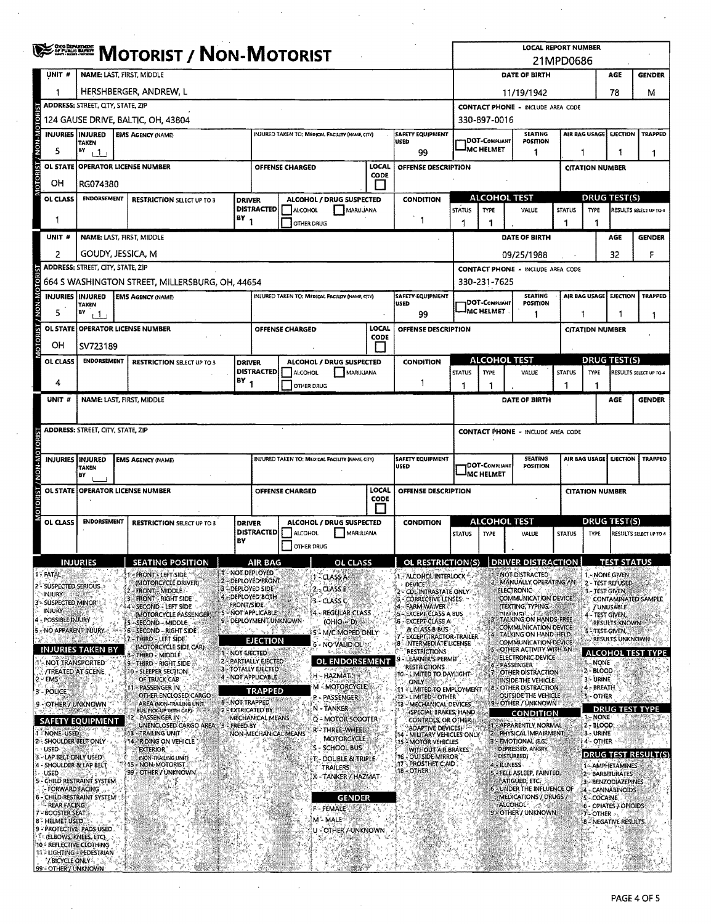|                     |                                                        | <b>SERRIFE MOTORIST / NON-MOTORIST</b>                                                                                                                   |  |                                                   |        |                                                    |                                                 |                                                  |                                                   |                                                                 | <b>LOCAL REPORT NUMBER</b><br>21MPD0686                                                                   |                                                                                                    |                                                                              |               |                                       |                                         |                            |
|---------------------|--------------------------------------------------------|----------------------------------------------------------------------------------------------------------------------------------------------------------|--|---------------------------------------------------|--------|----------------------------------------------------|-------------------------------------------------|--------------------------------------------------|---------------------------------------------------|-----------------------------------------------------------------|-----------------------------------------------------------------------------------------------------------|----------------------------------------------------------------------------------------------------|------------------------------------------------------------------------------|---------------|---------------------------------------|-----------------------------------------|----------------------------|
|                     | UNIT #                                                 |                                                                                                                                                          |  | NAME: LAST, FIRST, MIDDLE                         |        |                                                    |                                                 |                                                  |                                                   |                                                                 |                                                                                                           |                                                                                                    | DATE OF BIRTH                                                                |               |                                       | AGE                                     | <b>GENDER</b>              |
|                     | 1                                                      |                                                                                                                                                          |  | HERSHBERGER, ANDREW, L                            |        |                                                    |                                                 |                                                  |                                                   |                                                                 | 78<br>11/19/1942                                                                                          |                                                                                                    |                                                                              |               |                                       |                                         | м                          |
|                     |                                                        | ADDRESS: STREET, CITY, STATE, ZIP                                                                                                                        |  |                                                   |        | <b>CONTACT PHONE - INCLUDE AREA CODE</b>           |                                                 |                                                  |                                                   |                                                                 |                                                                                                           |                                                                                                    |                                                                              |               |                                       |                                         |                            |
|                     |                                                        |                                                                                                                                                          |  | 124 GAUSE DRIVE, BALTIC, OH, 43804                |        |                                                    |                                                 |                                                  |                                                   |                                                                 |                                                                                                           | 330-897-0016                                                                                       |                                                                              |               |                                       |                                         |                            |
| M NON               | <b>INJURIES INJURED</b>                                | TAKEN                                                                                                                                                    |  | <b>EMS AGENCY (NAME)</b>                          |        |                                                    | INJURED TAKEN TO: MEDICAL FACILITY (NAME CITY)  |                                                  |                                                   | <b>SAFETY EQUIPMENT</b><br>USED                                 |                                                                                                           | DOT-COMPLIANT                                                                                      | <b>SEATING</b><br><b>POSITION</b>                                            |               | AIR BAG USAGE                         | <b>EJECTION</b>                         | TRAPPED                    |
|                     | 5                                                      | BY<br>$+1$                                                                                                                                               |  |                                                   |        |                                                    |                                                 |                                                  |                                                   | 99                                                              |                                                                                                           | <b>IMC HELMET</b>                                                                                  | 1                                                                            | 1             |                                       |                                         | 1                          |
|                     | OL STATE                                               |                                                                                                                                                          |  | <b>OPERATOR LICENSE NUMBER</b>                    |        |                                                    | <b>OFFENSE CHARGED</b>                          |                                                  | LOCAL<br><b>CODE</b>                              | OFFENSE DESCRIPTION                                             |                                                                                                           |                                                                                                    |                                                                              |               | <b>CITATION NUMBER</b>                |                                         |                            |
|                     | OН                                                     | RG074380                                                                                                                                                 |  |                                                   |        |                                                    |                                                 |                                                  |                                                   |                                                                 |                                                                                                           |                                                                                                    |                                                                              |               |                                       |                                         |                            |
|                     | OL CLASS                                               | <b>ENDORSEMENT</b>                                                                                                                                       |  | <b>RESTRICTION SELECT UP TO 3</b>                 |        | <b>DRIVER</b><br><b>DISTRACTED</b>                 | ALCOHOL                                         | ALCOHOL / DRUG SUSPECTED<br>MARIJUANA            |                                                   | <b>CONDITION</b>                                                | <b>STATUS</b>                                                                                             | <b>ALCOHOL TEST</b><br><b>DRUG TEST(S)</b><br><b>TYPE</b><br>VALUE<br><b>STATUS</b><br><b>TYPE</b> |                                                                              |               |                                       |                                         | RESULTS SELECT UP TO 4     |
|                     | 1                                                      |                                                                                                                                                          |  |                                                   | $BY_1$ |                                                    | OTHER DRUG                                      |                                                  |                                                   | $\overline{1}$                                                  | 1                                                                                                         | 1                                                                                                  |                                                                              | 1             | 1                                     |                                         |                            |
|                     | UNIT #                                                 |                                                                                                                                                          |  | NAME: LAST, FIRST, MIDDLE                         |        |                                                    |                                                 |                                                  |                                                   |                                                                 |                                                                                                           |                                                                                                    | DATE OF BIRTH                                                                |               |                                       | AGE                                     | <b>GENDER</b>              |
|                     | 2                                                      | GOUDY, JESSICA, M                                                                                                                                        |  |                                                   |        |                                                    |                                                 |                                                  |                                                   |                                                                 |                                                                                                           |                                                                                                    | 09/25/1988                                                                   |               |                                       | 32                                      | F                          |
|                     |                                                        | <b>ADDRESS: STREET, CITY, STATE, ZIP</b>                                                                                                                 |  |                                                   |        |                                                    |                                                 |                                                  |                                                   |                                                                 |                                                                                                           |                                                                                                    | <b>CONTACT PHONE - INCLUDE AREA CODE</b>                                     |               |                                       |                                         |                            |
| OTOR                |                                                        |                                                                                                                                                          |  | 664 S WASHINGTON STREET, MILLERSBURG, OH, 44654   |        |                                                    |                                                 |                                                  |                                                   |                                                                 |                                                                                                           | 330-231-7625                                                                                       |                                                                              |               |                                       |                                         |                            |
| W-NON               | <b>INJURIES INJURED</b>                                | <b>TAKEN</b>                                                                                                                                             |  | <b>EMS AGENCY (NAME)</b>                          |        |                                                    | INJURED TAKEN TO: MEDICAL FACILITY (NAME CITY)  |                                                  |                                                   | <b>SAFETY EQUIPMENT</b><br><b>USED</b>                          |                                                                                                           | <b>DOT-COMPLIANT</b>                                                                               | <b>SEATING</b><br><b>POSITION</b>                                            |               | AIR BAG USAGE                         | <b>EJECTION</b>                         | <b>TRAPPED</b>             |
|                     | 5                                                      | B٧<br>1 <sup>1</sup>                                                                                                                                     |  |                                                   |        |                                                    |                                                 |                                                  |                                                   | 99                                                              |                                                                                                           | MC HELMET                                                                                          | 1                                                                            | 1             |                                       | 1                                       | 1                          |
|                     |                                                        |                                                                                                                                                          |  | OL STATE OPERATOR LICENSE NUMBER                  |        |                                                    | <b>OFFENSE CHARGED</b>                          |                                                  | LOCAL<br><b>CODE</b>                              | OFFENSE DESCRIPTION                                             |                                                                                                           |                                                                                                    |                                                                              |               | <b>CITATION NUMBER</b>                |                                         |                            |
|                     | ОH                                                     | SV723189                                                                                                                                                 |  |                                                   |        |                                                    |                                                 |                                                  |                                                   |                                                                 |                                                                                                           |                                                                                                    |                                                                              |               |                                       |                                         |                            |
|                     | OL CLASS                                               | <b>ENDORSEMENT</b>                                                                                                                                       |  | <b>RESTRICTION SELECT UP TO 3</b>                 |        | <b>DRIVER</b>                                      | <b>DISTRACTED   ALCOHOL</b>                     | ALCOHOL / DRUG SUSPECTED<br>MARUUANA             |                                                   | <b>CONDITION</b>                                                | <b>STATUS</b>                                                                                             | <b>ALCOHOL TEST</b><br><b>TYPE</b>                                                                 | VALUE                                                                        | <b>STATUS</b> | <b>TYPE</b>                           | <b>DRUG TEST(S)</b>                     | RESULTS SELECT UP TO 4     |
|                     | 4                                                      |                                                                                                                                                          |  |                                                   | (BY)   |                                                    | OTHER DRUG                                      |                                                  |                                                   | 1                                                               | 1                                                                                                         | 1                                                                                                  |                                                                              | 1             | 1                                     |                                         |                            |
|                     | UNIT #                                                 |                                                                                                                                                          |  | NAME: LAST, FIRST, MIDDLE                         |        |                                                    |                                                 |                                                  |                                                   |                                                                 |                                                                                                           |                                                                                                    | DATE OF BIRTH                                                                |               |                                       | AGE                                     | <b>GENDER</b>              |
|                     |                                                        |                                                                                                                                                          |  |                                                   |        |                                                    |                                                 |                                                  |                                                   |                                                                 |                                                                                                           |                                                                                                    |                                                                              |               |                                       |                                         |                            |
|                     |                                                        | ADDRESS: STREET, CITY, STATE, ZIP                                                                                                                        |  |                                                   |        |                                                    |                                                 |                                                  |                                                   |                                                                 |                                                                                                           |                                                                                                    | <b>CONTACT PHONE - INCLUDE AREA CODE</b>                                     |               |                                       |                                         |                            |
| <b>NON-MOTORIST</b> |                                                        |                                                                                                                                                          |  |                                                   |        |                                                    |                                                 |                                                  |                                                   |                                                                 |                                                                                                           |                                                                                                    |                                                                              |               |                                       |                                         |                            |
|                     | INJURIES INJURED                                       | <b>TAKEN</b><br>B٧                                                                                                                                       |  | <b>EMS AGENCY (NAME)</b>                          |        |                                                    | INJURED TAKEN TO: MEDICAL FACILITY (NAME, CITY) |                                                  |                                                   | <b>SAFETY EQUIPMENT</b><br><b>USED</b>                          | <b>SEATING</b><br>AIR BAG USAGE<br><b>EJECTION</b><br>DOT-COMPLIANT<br>POSITION<br><sup>I</sup> MC HELMET |                                                                                                    |                                                                              |               | <b>TRAPPEO</b>                        |                                         |                            |
|                     |                                                        |                                                                                                                                                          |  | OL STATE OPERATOR LICENSE NUMBER                  |        |                                                    | OFFENSE CHARGED                                 |                                                  | LOCAL                                             | OFFENSE DESCRIPTION                                             |                                                                                                           |                                                                                                    |                                                                              |               | <b>CITATION NUMBER</b>                |                                         |                            |
|                     |                                                        |                                                                                                                                                          |  |                                                   |        |                                                    |                                                 |                                                  | <b>CODE</b>                                       |                                                                 |                                                                                                           |                                                                                                    |                                                                              |               |                                       |                                         |                            |
|                     | OL CLASS                                               | <b>ENDORSEMENT</b>                                                                                                                                       |  | <b>RESTRICTION SELECT UP TO 3</b>                 |        | <b>DRIVER</b>                                      |                                                 | ALCOHOL / DRUG SUSPECTED                         |                                                   | <b>CONDITION</b>                                                |                                                                                                           | <b>ALCOHOL TEST</b>                                                                                |                                                                              |               |                                       | <b>DRUG TEST(S)</b>                     |                            |
|                     |                                                        |                                                                                                                                                          |  |                                                   | BY     | <b>DISTRACTED</b>                                  | ALCOHOL                                         | MARUUANA                                         |                                                   |                                                                 | <b>STATUS</b>                                                                                             | TYPE                                                                                               | VALUE                                                                        | <b>STATUS</b> | <b>TYPE</b>                           |                                         | RESULTS SELECT UP TO 4     |
|                     |                                                        |                                                                                                                                                          |  |                                                   |        |                                                    | OTHER DRUG                                      |                                                  |                                                   |                                                                 |                                                                                                           |                                                                                                    |                                                                              |               |                                       |                                         |                            |
|                     | <b>FATAL</b>                                           | <b>NJUKILS</b>                                                                                                                                           |  | <b>SEATING POSITION</b><br>- FRONT - LEFT SIDE    |        | <b>AIR BAG</b><br><b>1 - NOT DEPLOYED</b>          |                                                 | ОL                                               |                                                   | OL RESTRICTION(S)<br>1. ALCOHOL INTERLOCK                       |                                                                                                           |                                                                                                    | <b>DRIVER DISTRA</b><br>1. NOT DISTRACTED                                    |               | 1. NONE GIVEN                         |                                         |                            |
|                     | 2 - SUSPECTED SERIOUS                                  |                                                                                                                                                          |  | (MOTORCYCLE DRIVER)<br>FRONT MIDDLE               |        | 2 - DEPLOYED FRONT<br>3 - DEPLOYED SIDE            |                                                 | 1-CLASS A<br>2 - CLASS B                         |                                                   | <b>DEVICE</b><br>- CDLINTRASTATE ONLY                           |                                                                                                           |                                                                                                    | 2 - MANUALLY OPERATING AN.<br><b>ELECTRONIC</b>                              |               | 2 - TEST REFUSED<br>3 - TEST GIVEN, I |                                         |                            |
|                     | INJURY<br>3 - SUSPECTED MINOR                          |                                                                                                                                                          |  | - FRONT - RIGHT SIDE<br>4 - SECOND - LEFT SIDE    |        | DEPLOYED BOTH<br>Front/Side                        |                                                 | 3 - CLASS C                                      |                                                   | - CORRECTIVE LENSES.<br>4 - FARM WAIVER                         |                                                                                                           |                                                                                                    | COMMUNICATION DEVICE<br>(TEXTING, TYPING,                                    |               |                                       | /UNUSABLE                               | <b>CONTAMINATED SAMPLE</b> |
|                     | <b>INJURY</b><br>4 - POSSIBLE INJURY                   |                                                                                                                                                          |  | <b>MOTORCYCLE PASSENGER)</b><br>- SECOND - MIDDLE |        | <b>5 WOT APPLICABLE</b><br>9 - DEPLOYMENT, UNKNOWN |                                                 | 4 - REGULAR CLASS<br>(OHIO = D)                  |                                                   | 5 – EXCEPT CLASS A BUS<br>6 - EXCEPT CLASS A                    |                                                                                                           |                                                                                                    | thai ing)<br>TALKING:ON HANDS-FREE                                           |               | 4 - TEST GIVEN,                       | <b>RESULTS KNOWN</b>                    |                            |
|                     | 5 - NO APPARENT INJURY.                                |                                                                                                                                                          |  | 6 - SECOND - RIGHT SIDE<br>THIRD.-LEFT SIDE       |        | EJECTION                                           |                                                 | <b>5 - M/C MOPED ONLY</b>                        |                                                   | & CLASS B BUS<br><b>EXCEPT TRACTOR-TRAILER</b>                  |                                                                                                           |                                                                                                    | COMMUNICATION DEVICE<br>4 - TALKING ON HAND-HELD                             |               | 5 - TEST GIVEN,                       | RESULTS UNKNOWN                         |                            |
|                     |                                                        | <b>INJURIES TAKEN BY</b>                                                                                                                                 |  | (MOTORCYCLE SIDE CAR)<br>THIRD - MIDDLE           |        | 1 - NOT EJECTED                                    |                                                 | - NO VALID OL                                    |                                                   | 8 - INTERMEDIATE LICENSE<br><b>RESTRICTIONS</b>                 |                                                                                                           |                                                                                                    | <b>COMMUNICATION DEVICE</b><br>- OTHER ACTIVITY WITH AN<br>ELECTRONIC DEVICE |               |                                       |                                         | <b>ALCOHOL TEST TYPE</b>   |
|                     | NOT TRANSPORTED<br>/TREATED AT SCENE                   |                                                                                                                                                          |  | 9 - THIRD - RIGHT SIDE IS<br>10 - SLEEPER SECTION |        | 2 - PARTIALLY EJECTED<br>3 - TOTALLY EJECTED       |                                                 | <b>OL ENDORSEMENT</b>                            |                                                   | LEARNER'S PERMIT<br><b>RESTRICTIONS</b>                         |                                                                                                           | 6                                                                                                  | <b>-PASSENGER</b><br>OTHER DISTRACTION                                       |               | 1 - NONE<br>2-BLOOD                   |                                         |                            |
|                     | - EMS                                                  |                                                                                                                                                          |  | OF TRUCK CAB<br>PASSENGER IN                      |        | 4 - NOT APPLICABLE                                 |                                                 | H - HAZMAT.<br>M - MOTORCYCLE                    |                                                   | 10 - LIMITED TO DAYLIGHT-<br>ONLY<br>11 - LIMITED TO EMPLOYMENT |                                                                                                           |                                                                                                    | INSIDE THE VEHICLE!<br><b>OTHER DISTRACTION</b>                              |               | 3 - URINE<br>4 BREATH                 |                                         |                            |
|                     | 3 - POLICE<br>9 - OTHER / UNKNOWN                      |                                                                                                                                                          |  | OTHER ENCLOSED CARGO<br>AREA (NON-TRAILING UNIT)  |        | <b>TRAPPED</b><br>1-NOT TRAPPED                    |                                                 | P - PASSENGER                                    |                                                   | 12 - LIMITED - OTHER<br>13 - MECHANICAL DEVICES                 |                                                                                                           |                                                                                                    | <b>OUTSIDE THE VEHICLE</b><br>9 - OTHER / UNKNOWN                            |               | 5 - OTHER                             |                                         |                            |
|                     |                                                        | N-TANKER<br><b>2 - EXTRICATED BY WING</b><br>BUS, PICK-UP WITH CAP)<br>PASSENGER IN<br>MECHANICAL MEANS<br>Q - MOTOR SCOOTER                             |  |                                                   |        |                                                    |                                                 | (SPECIAL BRAKES, HAND<br>CONTROLS, OR OTHER,     |                                                   |                                                                 | <b>CONDITION</b>                                                                                          |                                                                                                    | <b>I. NONE</b>                                                               |               | <b>DRUG TEST TYPE</b>                 |                                         |                            |
|                     | 1 - NONE USED                                          | <b>SAFETY EQUIPMENT</b><br>UNENCLOSED CARGO AREA 3<br><b>EREED BY</b><br>R - THREE-WHEEL<br>TRAILING UNIT<br>NON-MECHANICAL MEANS                        |  |                                                   |        |                                                    |                                                 | ADAPTIVE DEVICES)<br>14 - MILITARY VEHICLES ONLY |                                                   |                                                                 | 1 - APPARENTLY NORMAL<br>2 - PHYSICAL IMPAIRMENT                                                          |                                                                                                    | 2 - BLOOD<br>3.- URINE                                                       |               |                                       |                                         |                            |
|                     | USED-                                                  | MOTORCYCLE<br>2 - SHOULDER BELT ONLY<br><b>14 - RIDING ON VEHICLE</b><br>S - SCHOOL BUS<br><b>EXTERIOR</b>                                               |  |                                                   |        |                                                    |                                                 | 15 MOTOR VEHICLES<br>WITHOUT AIR BRAKES          |                                                   |                                                                 | 3 - EMOTIONAL (E.G.<br>DEPRESSED, ANGRY                                                                   |                                                                                                    | 4 - OTHER                                                                    |               |                                       |                                         |                            |
| 14                  |                                                        | 3 - LAP BELT ONLY USED<br>(NON-TRAILING UNIT)<br><b>T. - DOUBLE &amp; TRIPLE</b><br><b>15 - NON-MOTORIST</b><br>- SHOULDER & LAP BELT<br><b>TRAILERS</b> |  |                                                   |        |                                                    |                                                 |                                                  | <b>16 - OUTSIDE MIRROR</b><br>17 - PROSTHETIC AID |                                                                 | 4 - ILLNESS                                                                                               | DISTURBED)                                                                                         |                                                                              |               | 1-AMPHETAMINES                        | <b>IDRUG TEST RESULT(S)</b>             |                            |
| lЫ                  | USED                                                   | - CHILD RESTRAINT SYSTEM                                                                                                                                 |  | 99 - OTHER / UNKNOWN                              |        |                                                    |                                                 | <b>C-TANKER / HAZMAT</b>                         |                                                   | 18 - OTHER                                                      |                                                                                                           |                                                                                                    | 5. FELL ASLEEP, FAINTED.<br>FATIGUED, ETC.                                   |               |                                       | 2 - BARBITURATES<br>3 - BENZODIAZEPINES |                            |
|                     | FORWARD FACING                                         | 6 - CHILD RESTRAINT SYSTEM :                                                                                                                             |  |                                                   |        |                                                    |                                                 | <b>GENDER</b>                                    |                                                   |                                                                 |                                                                                                           |                                                                                                    | <b>6 FUNDER THE INFLUENCE OF</b><br>MEDICATIONS / DRUGS /                    |               | 5 - COCAINE                           | 4 - CANNABINOIDS                        |                            |
|                     | - REAR FACING:<br><b>7-BOOSTER SEAT</b>                |                                                                                                                                                          |  |                                                   |        |                                                    |                                                 | <b>F-FEMALE</b>                                  |                                                   |                                                                 |                                                                                                           |                                                                                                    | ALCOHOL .<br>9 - OTHER / UNKNOWN                                             |               | 7 - OTHER                             | 6 - OPIATES / OPIOIDS                   |                            |
|                     | 8 - HELMET USED                                        | 9 - PROTECTIVE PADS USED                                                                                                                                 |  |                                                   |        |                                                    |                                                 | M-MALE<br>u - Other / Unknown                    |                                                   |                                                                 |                                                                                                           |                                                                                                    |                                                                              |               |                                       | <b>8 - NEGATIVE RESULTS.</b>            |                            |
|                     | <b>ELBOWS, KNEES, ETC.</b><br>10 - REFLECTIVE CLOTHING |                                                                                                                                                          |  |                                                   |        |                                                    |                                                 |                                                  |                                                   |                                                                 |                                                                                                           |                                                                                                    |                                                                              |               |                                       |                                         |                            |
|                     | "/ BICYCLE ONLY<br>99 - OTHER / UNKNOWN                | 11 - LIGHTING - PEDESTRIAN                                                                                                                               |  |                                                   |        |                                                    |                                                 |                                                  |                                                   |                                                                 |                                                                                                           |                                                                                                    |                                                                              |               |                                       |                                         |                            |

 $\bar{\mathcal{A}}$ 

 $\alpha$ 

 $\hat{\boldsymbol{\gamma}}$ 

 $\frac{1}{2} \sum_{i=1}^{n} \frac{1}{2} \sum_{j=1}^{n} \frac{1}{2} \sum_{j=1}^{n} \frac{1}{2} \sum_{j=1}^{n} \frac{1}{2} \sum_{j=1}^{n} \frac{1}{2} \sum_{j=1}^{n} \frac{1}{2} \sum_{j=1}^{n} \frac{1}{2} \sum_{j=1}^{n} \frac{1}{2} \sum_{j=1}^{n} \frac{1}{2} \sum_{j=1}^{n} \frac{1}{2} \sum_{j=1}^{n} \frac{1}{2} \sum_{j=1}^{n} \frac{1}{2} \sum_{j=1}^{n$ 

 $\sim$   $\sim$ 

 $\bar{\mathcal{A}}$ 

 $\sim$ 

 $\bar{z}$ 

 $\hat{\mathcal{A}}$ 

 $\bar{z}$ 

 $\sim$ 

 $\frac{1}{\sqrt{2}}\left( \frac{1}{\sqrt{2}}\right) \left( \frac{1}{\sqrt{2}}\right) \left( \frac{1}{\sqrt{2}}\right) \left( \frac{1}{\sqrt{2}}\right) \left( \frac{1}{\sqrt{2}}\right) \left( \frac{1}{\sqrt{2}}\right) \left( \frac{1}{\sqrt{2}}\right) \left( \frac{1}{\sqrt{2}}\right) \left( \frac{1}{\sqrt{2}}\right) \left( \frac{1}{\sqrt{2}}\right) \left( \frac{1}{\sqrt{2}}\right) \left( \frac{1}{\sqrt{2}}\right) \left( \frac{1}{\sqrt{2}}\right) \left$ 

 $\bar{\Delta}$ 

 $\sim$